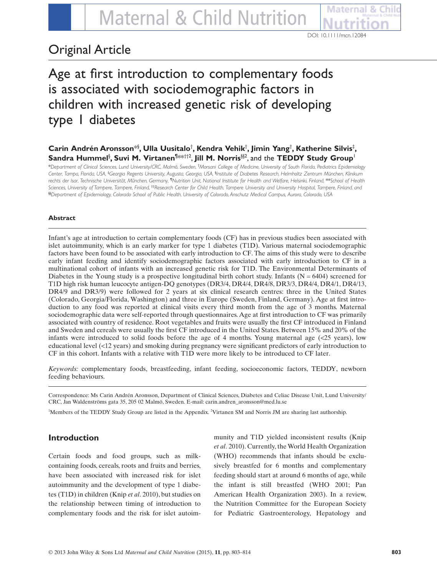DOI: 10.1111/mcn.12084

# Original Article

Age at first introduction to complementary foods is associated with sociodemographic factors in children with increased genetic risk of developing type 1 diabetes

# $\boldsymbol{\mathsf{C}}$ arin Andrén Aronsson $^{*\S},$  Ulla Uusitalo $^\dagger$ , Kendra Vehik $^\dagger$ , Jimin Yang $^\dagger$ , Katherine Silvis $^\ddagger,$  $\boldsymbol{\mathsf{S}}$ andra Hummel ${}^{\mathsf{S}},$  Suvi M. Virtanen ${}^{\mathsf{N}\!\!\times\!\mathsf{k}\+\mathsf{1}\!\!\times\!}$ , Jill M. Norris ${}^{\mathsf{S}\!\!\times\!2}$ , and the <code>TEDDY</code> Study Group ${}^{\mathsf{I}}$

\**Department of Clinical Sciences, Lund University/CRC, Malmö, Sweden,* † *Morsani College of Medicine, University of South Florida, Pediatrics Epidemiology Center, Tampa, Florida, USA,* ‡ *Georgia Regents University, Augusta, Georgia, USA,* § *Institute of Diabetes Research, Helmholtz Zentrum München, Klinikum rechts der lsar, Technische Universität, München, Germany, ¶Nutrition Unit, National Institute for Health and Welfare, Helsinki, Finland,* \*\**School of Health Sciences, University of Tampere, Tampere, Finland,* ††*Research Center for Child Health, Tampere University and University Hospital, Tampere, Finland, and* §§*Department of Epidemiology, Colorado School of Public Health, University of Colorado, Anschutz Medical Campus, Aurora, Colorado, USA*

# **Abstract**

Infant's age at introduction to certain complementary foods (CF) has in previous studies been associated with islet autoimmunity, which is an early marker for type 1 diabetes (T1D). Various maternal sociodemographic factors have been found to be associated with early introduction to CF. The aims of this study were to describe early infant feeding and identify sociodemographic factors associated with early introduction to CF in a multinational cohort of infants with an increased genetic risk for T1D. The Environmental Determinants of Diabetes in the Young study is a prospective longitudinal birth cohort study. Infants ( $N = 6404$ ) screened for T1D high risk human leucocyte antigen-DQ genotypes (DR3/4, DR4/4, DR4/8, DR3/3, DR4/4, DR4/1, DR4/13, DR4/9 and DR3/9) were followed for 2 years at six clinical research centres: three in the United States (Colorado, Georgia/Florida, Washington) and three in Europe (Sweden, Finland, Germany). Age at first introduction to any food was reported at clinical visits every third month from the age of 3 months. Maternal sociodemographic data were self-reported through questionnaires. Age at first introduction to CF was primarily associated with country of residence. Root vegetables and fruits were usually the first CF introduced in Finland and Sweden and cereals were usually the first CF introduced in the United States. Between 15% and 20% of the infants were introduced to solid foods before the age of 4 months. Young maternal age (<25 years), low educational level (<12 years) and smoking during pregnancy were significant predictors of early introduction to CF in this cohort. Infants with a relative with T1D were more likely to be introduced to CF later.

*Keywords:* complementary foods, breastfeeding, infant feeding, socioeconomic factors, TEDDY, newborn feeding behaviours.

Correspondence: Ms Carin Andrén Aronsson, Department of Clinical Sciences, Diabetes and Celiac Disease Unit, Lund University/ CRC, Jan Waldenströms gata 35, 205 02 Malmö, Sweden. E-mail: carin.andren\_aronsson@med.lu.se

1 Members of the TEDDY Study Group are listed in the Appendix. <sup>2</sup> Virtanen SM and Norris JM are sharing last authorship.

# **Introduction**

Certain foods and food groups, such as milkcontaining foods, cereals, roots and fruits and berries, have been associated with increased risk for islet autoimmunity and the development of type 1 diabetes (T1D) in children (Knip *et al*. 2010), but studies on the relationship between timing of introduction to complementary foods and the risk for islet autoim-

munity and T1D yielded inconsistent results (Knip *et al*. 2010). Currently, the World Health Organization (WHO) recommends that infants should be exclusively breastfed for 6 months and complementary feeding should start at around 6 months of age, while the infant is still breastfed (WHO 2001; Pan American Health Organization 2003). In a review, the Nutrition Committee for the European Society for Pediatric Gastroenterology, Hepatology and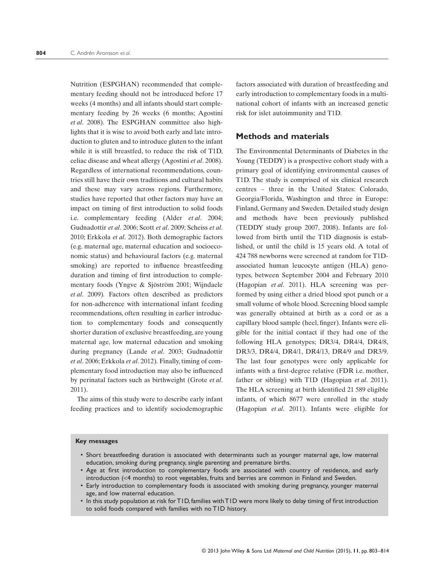Nutrition (ESPGHAN) recommended that complementary feeding should not be introduced before 17 weeks (4 months) and all infants should start complementary feeding by 26 weeks (6 months; Agostini *et al*. 2008). The ESPGHAN committee also highlights that it is wise to avoid both early and late introduction to gluten and to introduce gluten to the infant while it is still breastfed, to reduce the risk of T1D, celiac disease and wheat allergy (Agostini *et al*. 2008). Regardless of international recommendations, countries still have their own traditions and cultural habits and these may vary across regions. Furthermore, studies have reported that other factors may have an impact on timing of first introduction to solid foods i.e. complementary feeding (Alder *et al*. 2004; Gudnadottir *et al*. 2006; Scott *et al*. 2009; Scheiss *et al*. 2010; Erkkola *et al*. 2012). Both demographic factors (e.g. maternal age, maternal education and socioeconomic status) and behavioural factors (e.g. maternal smoking) are reported to influence breastfeeding duration and timing of first introduction to complementary foods (Yngve & Sjöström 2001; Wijndaele *et al*. 2009)*.* Factors often described as predictors for non-adherence with international infant feeding recommendations, often resulting in earlier introduction to complementary foods and consequently shorter duration of exclusive breastfeeding, are young maternal age, low maternal education and smoking during pregnancy (Lande *et al*. 2003; Gudnadottir *et al*. 2006; Erkkola *et al*. 2012)*.* Finally, timing of complementary food introduction may also be influenced by perinatal factors such as birthweight (Grote *et al*. 2011).

The aims of this study were to describe early infant feeding practices and to identify sociodemographic

factors associated with duration of breastfeeding and early introduction to complementary foods in a multinational cohort of infants with an increased genetic risk for islet autoimmunity and T1D.

## **Methods and materials**

The Environmental Determinants of Diabetes in the Young (TEDDY) is a prospective cohort study with a primary goal of identifying environmental causes of T1D. The study is comprised of six clinical research centres – three in the United States: Colorado, Georgia/Florida, Washington and three in Europe: Finland, Germany and Sweden. Detailed study design and methods have been previously published (TEDDY study group 2007, 2008). Infants are followed from birth until the T1D diagnosis is established, or until the child is 15 years old. A total of 424 788 newborns were screened at random for T1Dassociated human leucocyte antigen (HLA) genotypes, between September 2004 and February 2010 (Hagopian *et al*. 2011). HLA screening was performed by using either a dried blood spot punch or a small volume of whole blood. Screening blood sample was generally obtained at birth as a cord or as a capillary blood sample (heel, finger). Infants were eligible for the initial contact if they had one of the following HLA genotypes; DR3/4, DR4/4, DR4/8, DR3/3, DR4/4, DR4/1, DR4/13, DR4/9 and DR3/9. The last four genotypes were only applicable for infants with a first-degree relative (FDR i.e. mother, father or sibling) with T1D (Hagopian *et al*. 2011). The HLA screening at birth identified 21 589 eligible infants, of which 8677 were enrolled in the study (Hagopian *et al*. 2011). Infants were eligible for

#### **Key messages**

- Short breastfeeding duration is associated with determinants such as younger maternal age, low maternal education, smoking during pregnancy, single parenting and premature births.
- Age at first introduction to complementary foods are associated with country of residence, and early introduction (<4 months) to root vegetables, fruits and berries are common in Finland and Sweden.
- Early introduction to complementary foods is associated with smoking during pregnancy, younger maternal age, and low maternal education.
- In this study population at risk for T1D, families with T1D were more likely to delay timing of first introduction to solid foods compared with families with no T1D history.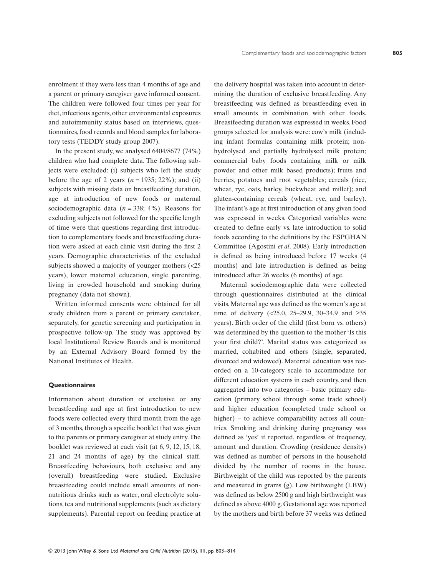enrolment if they were less than 4 months of age and a parent or primary caregiver gave informed consent. The children were followed four times per year for diet, infectious agents, other environmental exposures and autoimmunity status based on interviews, questionnaires, food records and blood samples for laboratory tests (TEDDY study group 2007).

In the present study, we analysed 6404/8677 (74%) children who had complete data. The following subjects were excluded: (i) subjects who left the study before the age of 2 years  $(n = 1935; 22\%)$ ; and (ii) subjects with missing data on breastfeeding duration, age at introduction of new foods or maternal sociodemographic data  $(n = 338; 4\%)$ . Reasons for excluding subjects not followed for the specific length of time were that questions regarding first introduction to complementary foods and breastfeeding duration were asked at each clinic visit during the first 2 years. Demographic characteristics of the excluded subjects showed a majority of younger mothers (<25 years), lower maternal education, single parenting, living in crowded household and smoking during pregnancy (data not shown).

Written informed consents were obtained for all study children from a parent or primary caretaker, separately, for genetic screening and participation in prospective follow-up. The study was approved by local Institutional Review Boards and is monitored by an External Advisory Board formed by the National Institutes of Health.

#### **Questionnaires**

Information about duration of exclusive or any breastfeeding and age at first introduction to new foods were collected every third month from the age of 3 months, through a specific booklet that was given to the parents or primary caregiver at study entry.The booklet was reviewed at each visit (at 6, 9, 12, 15, 18, 21 and 24 months of age) by the clinical staff. Breastfeeding behaviours, both exclusive and any (overall) breastfeeding were studied. Exclusive breastfeeding could include small amounts of nonnutritious drinks such as water, oral electrolyte solutions, tea and nutritional supplements (such as dietary supplements). Parental report on feeding practice at

the delivery hospital was taken into account in determining the duration of exclusive breastfeeding. Any breastfeeding was defined as breastfeeding even in small amounts in combination with other foods. Breastfeeding duration was expressed in weeks. Food groups selected for analysis were: cow's milk (including infant formulas containing milk protein; nonhydrolysed and partially hydrolysed milk protein; commercial baby foods containing milk or milk powder and other milk based products); fruits and berries, potatoes and root vegetables; cereals (rice, wheat, rye, oats, barley, buckwheat and millet); and gluten-containing cereals (wheat, rye, and barley). The infant's age at first introduction of any given food was expressed in weeks. Categorical variables were created to define early vs. late introduction to solid foods according to the definitions by the ESPGHAN Committee (Agostini *et al*. 2008). Early introduction is defined as being introduced before 17 weeks (4 months) and late introduction is defined as being introduced after 26 weeks (6 months) of age.

Maternal sociodemographic data were collected through questionnaires distributed at the clinical visits. Maternal age was defined as the women's age at time of delivery (<25.0, 25–29.9, 30–34.9 and  $\geq 35$ years). Birth order of the child (first born vs. others) was determined by the question to the mother 'Is this your first child?'. Marital status was categorized as married, cohabited and others (single, separated, divorced and widowed). Maternal education was recorded on a 10-category scale to accommodate for different education systems in each country, and then aggregated into two categories – basic primary education (primary school through some trade school) and higher education (completed trade school or higher) – to achieve comparability across all countries. Smoking and drinking during pregnancy was defined as 'yes' if reported, regardless of frequency, amount and duration. Crowding (residence density) was defined as number of persons in the household divided by the number of rooms in the house. Birthweight of the child was reported by the parents and measured in grams (g). Low birthweight (LBW) was defined as below 2500 g and high birthweight was defined as above 4000 g. Gestational age was reported by the mothers and birth before 37 weeks was defined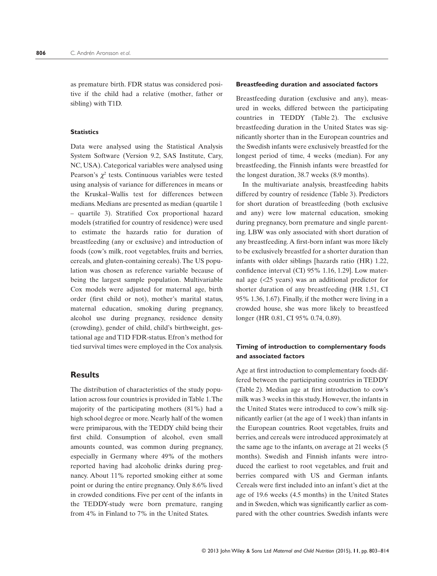as premature birth. FDR status was considered positive if the child had a relative (mother, father or sibling) with T1D.

#### **Statistics**

Data were analysed using the Statistical Analysis System Software (Version 9.2, SAS Institute, Cary, NC, USA). Categorical variables were analysed using Pearson's  $\chi^2$  tests. Continuous variables were tested using analysis of variance for differences in means or the Kruskal–Wallis test for differences between medians. Medians are presented as median (quartile 1 – quartile 3). Stratified Cox proportional hazard models (stratified for country of residence) were used to estimate the hazards ratio for duration of breastfeeding (any or exclusive) and introduction of foods (cow's milk, root vegetables, fruits and berries, cereals, and gluten-containing cereals). The US population was chosen as reference variable because of being the largest sample population. Multivariable Cox models were adjusted for maternal age, birth order (first child or not), mother's marital status, maternal education, smoking during pregnancy, alcohol use during pregnancy, residence density (crowding), gender of child, child's birthweight, gestational age and T1D FDR-status. Efron's method for tied survival times were employed in the Cox analysis.

# **Results**

The distribution of characteristics of the study population across four countries is provided in Table 1.The majority of the participating mothers (81%) had a high school degree or more. Nearly half of the women were primiparous, with the TEDDY child being their first child. Consumption of alcohol, even small amounts counted, was common during pregnancy, especially in Germany where 49% of the mothers reported having had alcoholic drinks during pregnancy. About 11% reported smoking either at some point or during the entire pregnancy. Only 8.6% lived in crowded conditions. Five per cent of the infants in the TEDDY-study were born premature, ranging from 4% in Finland to 7% in the United States.

#### **Breastfeeding duration and associated factors**

Breastfeeding duration (exclusive and any), measured in weeks, differed between the participating countries in TEDDY (Table 2). The exclusive breastfeeding duration in the United States was significantly shorter than in the European countries and the Swedish infants were exclusively breastfed for the longest period of time, 4 weeks (median). For any breastfeeding, the Finnish infants were breastfed for the longest duration, 38.7 weeks (8.9 months).

In the multivariate analysis, breastfeeding habits differed by country of residence (Table 3). Predictors for short duration of breastfeeding (both exclusive and any) were low maternal education, smoking during pregnancy, born premature and single parenting. LBW was only associated with short duration of any breastfeeding. A first-born infant was more likely to be exclusively breastfed for a shorter duration than infants with older siblings [hazards ratio (HR) 1.22, confidence interval (CI) 95% 1.16, 1.29]. Low maternal age (<25 years) was an additional predictor for shorter duration of any breastfeeding (HR 1.51, CI 95% 1.36, 1.67). Finally, if the mother were living in a crowded house, she was more likely to breastfeed longer (HR 0.81, CI 95% 0.74, 0.89).

## **Timing of introduction to complementary foods and associated factors**

Age at first introduction to complementary foods differed between the participating countries in TEDDY (Table 2). Median age at first introduction to cow's milk was 3 weeks in this study. However, the infants in the United States were introduced to cow's milk significantly earlier (at the age of 1 week) than infants in the European countries. Root vegetables, fruits and berries, and cereals were introduced approximately at the same age to the infants, on average at 21 weeks (5 months). Swedish and Finnish infants were introduced the earliest to root vegetables, and fruit and berries compared with US and German infants. Cereals were first included into an infant's diet at the age of 19.6 weeks (4.5 months) in the United States and in Sweden, which was significantly earlier as compared with the other countries. Swedish infants were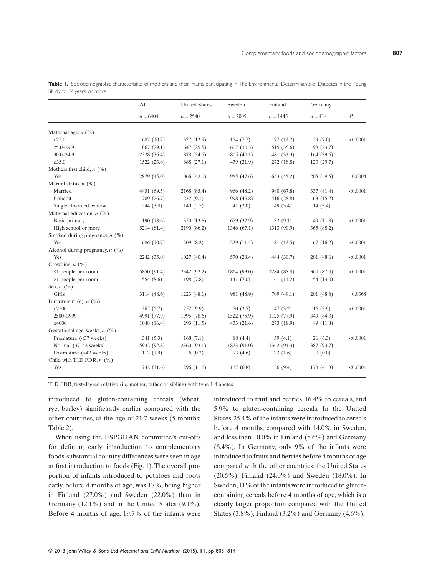|                                   | All<br>$n = 6404$ | <b>United States</b><br>$n = 2540$ | Sweden<br>$n = 2005$ | Finland<br>$n = 1445$ | Germany    |                  |
|-----------------------------------|-------------------|------------------------------------|----------------------|-----------------------|------------|------------------|
|                                   |                   |                                    |                      |                       | $n = 414$  | $\boldsymbol{P}$ |
| Maternal age, $n$ (%)             |                   |                                    |                      |                       |            |                  |
| < 25.0                            | 687 (10.7)        | 327 (12.9)                         | 154(7.7)             | 177(12.2)             | 29(7.0)    | < 0.0001         |
| $25.0 - 29.9$                     | 1867 (29.1)       | 647 (25.5)                         | 607(30.3)            | 515 (35.6)            | 98 (23.7)  |                  |
| $30.0 - 34.9$                     | 2328 (36.4)       | 878 (34.5)                         | 805 (40.1)           | 481 (33.3)            | 164(39.6)  |                  |
| $\geq 35.0$                       | 1522 (23.8)       | 688 (27.1)                         | 439 (21.9)           | 272 (18.8)            | 123(29.7)  |                  |
| Mothers first child, $n$ (%)      |                   |                                    |                      |                       |            |                  |
| Yes                               | 2879 (45.0)       | 1066(42.0)                         | 955 (47.6)           | 653 (45.2)            | 205(49.5)  | 0.0004           |
| Marital status, $n$ (%)           |                   |                                    |                      |                       |            |                  |
| Married                           | 4451 (69.5)       | 2168 (85.4)                        | 966 (48.2)           | 980 (67.8)            | 337 (81.4) | < 0.0001         |
| Cohabit                           | 1709 (26.7)       | 232(9.1)                           | 998 (49.8)           | 416 (28.8)            | 63(15.2)   |                  |
| Single, divorced, widow           | 244(3.8)          | 140(5.5)                           | 41 $(2.0)$           | 49(3.4)               | 14(3.4)    |                  |
| Maternal education, $n$ (%)       |                   |                                    |                      |                       |            |                  |
| Basic primary                     | 1190 (18.6)       | 350 (13.8)                         | 659 (32.9)           | 132(9.1)              | 49 (11.8)  | < 0.0001         |
| High school or more               | 5214 (81.4)       | 2190 (86.2)                        | 1346 (67.1)          | 1313 (90.9)           | 365 (88.2) |                  |
| Smoked during pregnancy, $n$ (%)  |                   |                                    |                      |                       |            |                  |
| Yes                               | 686 (10.7)        | 209(8.2)                           | 229(11.4)            | 181 (12.5)            | 67(16.2)   | < 0.0001         |
| Alcohol during pregnancy, $n$ (%) |                   |                                    |                      |                       |            |                  |
| Yes                               | 2242 (35.0)       | 1027(40.4)                         | 570 (28.4)           | 444 (30.7)            | 201(48.6)  | < 0.0001         |
| Crowding, $n$ (%)                 |                   |                                    |                      |                       |            |                  |
| $\leq 1$ people per room          | 5850 (91.4)       | 2342 (92.2)                        | 1864 (93.0)          | 1284 (88.8)           | 360 (87.0) | < 0.0001         |
| >1 people per room                | 554 (8.6)         | 198 (7.8)                          | 141(7.0)             | 161(11.2)             | 54 (13.0)  |                  |
| Sex, $n$ (%)                      |                   |                                    |                      |                       |            |                  |
| Girls                             | 3114 (48.6)       | 1223(48.1)                         | 981 (48.9)           | 709 (49.1)            | 201(48.6)  | 0.9368           |
| Birthweight $(g)$ , $n$ $(\%)$    |                   |                                    |                      |                       |            |                  |
| < 2500                            | 365(5.7)          | 252(9.9)                           | 50(2.5)              | 47(3.2)               | 16(3.9)    | < 0.0001         |
| 2500-3999                         | 4991 (77.9)       | 1995 (78.6)                        | 1522 (75.9)          | 1125 (77.9)           | 349 (84.3) |                  |
| $\geq 4000$                       | 1048 (16.4)       | 293 (11.5)                         | 433 $(21.6)$         | 273 (18.9)            | 49 (11.8)  |                  |
| Gestational age, weeks, $n$ (%)   |                   |                                    |                      |                       |            |                  |
| Premature (<37 weeks)             | 341(5.3)          | 168(7.1)                           | 88 (4.4)             | 59 $(4.1)$            | 26(6.3)    | < 0.0001         |
| Normal (37-42 weeks)              | 5932 (92.8)       | 2360 (93.1)                        | 1823 (91.0)          | 1362 (94.3)           | 387 (93.7) |                  |
| Postmature (>42 weeks)            | 112(1.9)          | 6(0.2)                             | 93(4.6)              | 23(1.6)               | 0(0.0)     |                  |
| Child with T1D FDR, $n$ (%)       |                   |                                    |                      |                       |            |                  |
| Yes                               | 742 (11.6)        | 296 (11.6)                         | 137(6.8)             | 136(9.4)              | 173 (41.8) | < 0.0001         |

**Table 1.** Sociodemographic characteristics of mothers and their infants participating in The Environmental Determinants of Diabetes in the Young Study for 2 years or more

T1D FDR, first-degree relative (i.e. mother, father or sibling) with type 1 diabetes.

introduced to gluten-containing cereals (wheat, rye, barley) significantly earlier compared with the other countries, at the age of 21.7 weeks (5 months; Table 2).

When using the ESPGHAN committee's cut-offs for defining early introduction to complementary foods, substantial country differences were seen in age at first introduction to foods (Fig. 1). The overall proportion of infants introduced to potatoes and roots early, before 4 months of age, was 17%, being higher in Finland (27.0%) and Sweden (22.0%) than in Germany (12.1%) and in the United States (9.1%). Before 4 months of age, 19.7% of the infants were introduced to fruit and berries, 16.4% to cereals, and 5.9% to gluten-containing cereals. In the United States, 25.4% of the infants were introduced to cereals before 4 months, compared with 14.0% in Sweden, and less than 10.0% in Finland (5.6%) and Germany (8.4%). In Germany, only 9% of the infants were introduced to fruits and berries before 4 months of age compared with the other countries: the United States (20.5%), Finland (24.0%) and Sweden (18.0%). In Sweden, 11% of the infants were introduced to glutencontaining cereals before 4 months of age, which is a clearly larger proportion compared with the United States (3.8%), Finland (3.2%) and Germany (4.6%).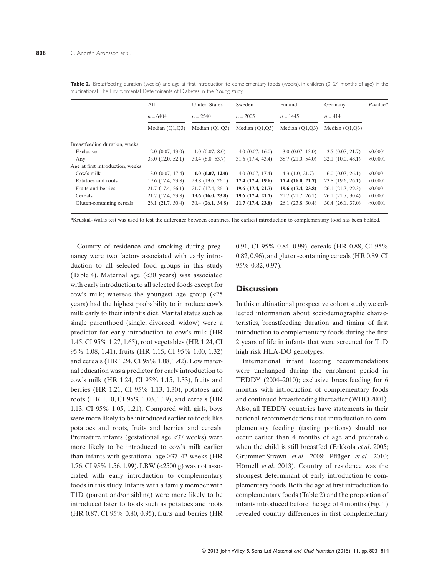|                                  | All               | <b>United States</b>  | Sweden            | Finland               | Germany              | $P$ -value* |
|----------------------------------|-------------------|-----------------------|-------------------|-----------------------|----------------------|-------------|
|                                  | $n = 6404$        | $n = 2540$            | $n = 2005$        | $n = 1445$            | $n = 414$            |             |
|                                  | Median $(Q1,Q3)$  | Median $(Q1,Q3)$      | Median $(Q1,Q3)$  | Median $(Q1,Q3)$      | Median $(Q1,Q3)$     |             |
| Breastfeeding duration, weeks    |                   |                       |                   |                       |                      |             |
| Exclusive                        | 2.0(0.07, 13.0)   | 1.0(0.07, 8.0)        | 4.0(0.07, 16.0)   | 3.0(0.07, 13.0)       | 3.5(0.07, 21.7)      | < 0.0001    |
| Any                              | 33.0(12.0, 52.1)  | $30.4$ $(8.0, 53.7)$  | 31.6 (17.4, 43.4) | 38.7(21.0, 54.0)      | 32.1(10.0, 48.1)     | < 0.0001    |
| Age at first introduction, weeks |                   |                       |                   |                       |                      |             |
| Cow's milk                       | 3.0(0.07, 17.4)   | 1.0(0.07, 12.0)       | 4.0(0.07, 17.4)   | 4.3(1.0, 21.7)        | $6.0$ $(0.07, 26.1)$ | < 0.0001    |
| Potatoes and roots               | 19.6 (17.4, 23.8) | 23.8 (19.6, 26.1)     | 17.4 (17.4, 19.6) | $17.4$ $(16.0, 21.7)$ | 23.8 (19.6, 26.1)    | < 0.0001    |
| Fruits and berries               | 21.7(17.4, 26.1)  | 21.7(17.4, 26.1)      | 19.6 (17.4, 21.7) | 19.6 (17.4, 23.8)     | 26.1 (21.7, 29.3)    | < 0.0001    |
| Cereals                          | 21.7 (17.4, 23.8) | 19.6(16.0, 23.8)      | 19.6 (17.4, 21.7) | 21.7(21.7, 26.1)      | 26.1(21.7, 30.4)     | < 0.0001    |
| Gluten-containing cereals        | 26.1(21.7, 30.4)  | $30.4$ $(26.1, 34.8)$ | 21.7 (17.4, 23.8) | 26.1 (23.8, 30.4)     | 30.4(26.1, 37.0)     | < 0.0001    |
|                                  |                   |                       |                   |                       |                      |             |

Table 2. Breastfeeding duration (weeks) and age at first introduction to complementary foods (weeks), in children (0-24 months of age) in the multinational The Environmental Determinants of Diabetes in the Young study

\*Kruskal–Wallis test was used to test the difference between countries. The earliest introduction to complementary food has been bolded.

Country of residence and smoking during pregnancy were two factors associated with early introduction to all selected food groups in this study (Table 4). Maternal age (<30 years) was associated with early introduction to all selected foods except for cow's milk; whereas the youngest age group (<25 years) had the highest probability to introduce cow's milk early to their infant's diet. Marital status such as single parenthood (single, divorced, widow) were a predictor for early introduction to cow's milk (HR 1.45, CI 95% 1.27, 1.65), root vegetables (HR 1.24, CI 95% 1.08, 1.41), fruits (HR 1.15, CI 95% 1.00, 1.32) and cereals (HR 1.24, CI 95% 1.08, 1.42). Low maternal education was a predictor for early introduction to cow's milk (HR 1.24, CI 95% 1.15, 1.33), fruits and berries (HR 1.21, CI 95% 1.13, 1.30), potatoes and roots (HR 1.10, CI 95% 1.03, 1.19), and cereals (HR 1.13, CI 95% 1.05, 1.21). Compared with girls, boys were more likely to be introduced earlier to foods like potatoes and roots, fruits and berries, and cereals. Premature infants (gestational age <37 weeks) were more likely to be introduced to cow's milk earlier than infants with gestational age  $\geq 37-42$  weeks (HR 1.76, CI 95% 1.56, 1.99). LBW (<2500 g) was not associated with early introduction to complementary foods in this study. Infants with a family member with T1D (parent and/or sibling) were more likely to be introduced later to foods such as potatoes and roots (HR 0.87, CI 95% 0.80, 0.95), fruits and berries (HR

0.91, CI 95% 0.84, 0.99), cereals (HR 0.88, CI 95% 0.82, 0.96), and gluten-containing cereals (HR 0.89, CI 95% 0.82, 0.97).

# **Discussion**

In this multinational prospective cohort study, we collected information about sociodemographic characteristics, breastfeeding duration and timing of first introduction to complementary foods during the first 2 years of life in infants that were screened for T1D high risk HLA-DQ genotypes.

International infant feeding recommendations were unchanged during the enrolment period in TEDDY (2004–2010); exclusive breastfeeding for 6 months with introduction of complementary foods and continued breastfeeding thereafter (WHO 2001). Also, all TEDDY countries have statements in their national recommendations that introduction to complementary feeding (tasting portions) should not occur earlier than 4 months of age and preferable when the child is still breastfed (Erkkola *et al*. 2005; Grummer-Strawn *et al*. 2008; Pflüger *et al*. 2010; Hörnell *et al*. 2013). Country of residence was the strongest determinant of early introduction to complementary foods. Both the age at first introduction to complementary foods (Table 2) and the proportion of infants introduced before the age of 4 months (Fig. 1) revealed country differences in first complementary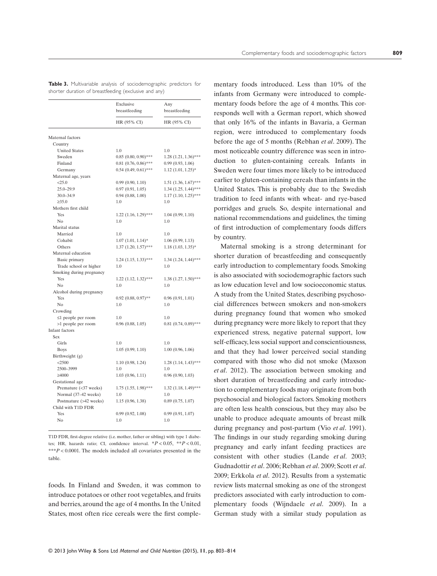|                          | Exclusive<br>breastfeeding | Any<br>breastfeeding      |  |
|--------------------------|----------------------------|---------------------------|--|
|                          | HR (95% CI)                | HR (95% CI)               |  |
| Maternal factors         |                            |                           |  |
| Country                  |                            |                           |  |
| <b>United States</b>     | 1.0                        | 1.0                       |  |
| Sweden                   | $0.85(0.80, 0.90)$ ***     | $1.28$ $(1.21, 1.36)$ *** |  |
| Finland                  | $0.81$ $(0.76, 0.86)$ ***  | 0.99(0.93, 1.06)          |  |
| Germany                  | $0.54$ $(0.49, 0.61)$ ***  | $1.12$ $(1.01, 1.25)$ *   |  |
| Maternal age, years      |                            |                           |  |
| < 25.0                   | 0.99(0.90, 1.10)           | $1.51$ $(1.36, 1.67)$ *** |  |
| $25.0 - 29.9$            | 0.97(0.91, 1.05)           | $1.34$ $(1.25, 1.44)$ *** |  |
| $30.0 - 34.9$            | 0.94(0.88, 1.00)           | $1.17$ $(1.10, 1.25)$ *** |  |
| $\geq 35.0$              | 1.0                        | 1.0                       |  |
| Mothers first child      |                            |                           |  |
| Yes                      | $1.22$ $(1.16, 1.29)$ ***  | 1.04(0.99, 1.10)          |  |
| No                       | 1.0                        | 1.0                       |  |
| Marital status           |                            |                           |  |
| Married                  | 1.0                        | 1.0                       |  |
| Cohabit                  | $1.07$ $(1.01, 1.14)$ *    | 1.06(0.99, 1.13)          |  |
| Others                   | $1.37$ $(1.20, 1.57)$ ***  | $1.18$ $(1.03, 1.35)$ *   |  |
| Maternal education       |                            |                           |  |
| Basic primary            | $1.24$ $(1.15, 1.33)$ ***  | 1.34 (1.24, 1.44)***      |  |
| Trade school or higher   | 1.0                        | 1.0                       |  |
| Smoking during pregnancy |                            |                           |  |
| Yes                      | $1.22$ $(1.12, 1.32)$ ***  | $1.38$ $(1.27, 1.50)$ *** |  |
| N <sub>0</sub>           | 1.0                        | 1.0                       |  |
| Alcohol during pregnancy |                            |                           |  |
| Yes                      | $0.92$ $(0.88, 0.97)$ **   | 0.96(0.91, 1.01)          |  |
| N <sub>0</sub>           | 1.0                        | 1.0                       |  |
| Crowding                 |                            |                           |  |
| $\leq$ 1 people per room | 1.0                        | 1.0                       |  |
| >1 people per room       | $0.96$ $(0.88, 1.05)$      | $0.81$ $(0.74, 0.89)$ *** |  |
| Infant factors           |                            |                           |  |
| Sex                      |                            |                           |  |
| Girls                    | 1.0                        | 1.0                       |  |
| <b>Boys</b>              | 1.05(0.99, 1.10)           | 1.00(0.96, 1.06)          |  |
| Birthweight (g)          |                            |                           |  |
| $<$ 2500                 | 1.10(0.98, 1.24)           | $1.28$ $(1.14, 1.43)$ *** |  |
| 2500-3999                | 1.0                        | 1.0                       |  |
| $\geq 4000$              | 1.03(0.96, 1.11)           | 0.96(0.90, 1.03)          |  |
| Gestational age          |                            |                           |  |
| Premature (<37 weeks)    | $1.75$ $(1.55, 1.98)$ ***  | 1.32 (1.18, 1.49)***      |  |
| Normal (37-42 weeks)     | 1.0                        | 1.0                       |  |
| Postmature (>42 weeks)   | 1.15(0.96, 1.38)           | $0.89$ $(0.75, 1.07)$     |  |
| Child with T1D FDR       |                            |                           |  |
| Yes                      | 0.99(0.92, 1.08)           | 0.99(0.91, 1.07)          |  |
| No                       | 1.0                        | 1.0                       |  |

**Table 3.** Multivariable analysis of sociodemographic predictors for shorter duration of breastfeeding (exclusive and any)

T1D FDR, first-degree relative (i.e. mother, father or sibling) with type 1 diabetes; HR, hazards ratio; CI, confidence interval. \**P* < 0.05, \*\**P* < 0.01, \*\*\**P* < 0.0001. The models included all covariates presented in the table.

foods. In Finland and Sweden, it was common to introduce potatoes or other root vegetables, and fruits and berries, around the age of 4 months. In the United States, most often rice cereals were the first comple-

mentary foods introduced. Less than 10% of the infants from Germany were introduced to complementary foods before the age of 4 months. This corresponds well with a German report, which showed that only 16% of the infants in Bavaria, a German region, were introduced to complementary foods before the age of 5 months (Rebhan *et al*. 2009). The most noticeable country difference was seen in introduction to gluten-containing cereals. Infants in Sweden were four times more likely to be introduced earlier to gluten-containing cereals than infants in the United States. This is probably due to the Swedish tradition to feed infants with wheat- and rye-based porridges and gruels. So, despite international and national recommendations and guidelines, the timing of first introduction of complementary foods differs by country.

Maternal smoking is a strong determinant for shorter duration of breastfeeding and consequently early introduction to complementary foods. Smoking is also associated with sociodemographic factors such as low education level and low socioeconomic status. A study from the United States, describing psychosocial differences between smokers and non-smokers during pregnancy found that women who smoked during pregnancy were more likely to report that they experienced stress, negative paternal support, low self-efficacy, less social support and conscientiousness, and that they had lower perceived social standing compared with those who did not smoke (Maxson *et al*. 2012). The association between smoking and short duration of breastfeeding and early introduction to complementary foods may originate from both psychosocial and biological factors. Smoking mothers are often less health conscious, but they may also be unable to produce adequate amounts of breast milk during pregnancy and post-partum (Vio *et al*. 1991). The findings in our study regarding smoking during pregnancy and early infant feeding practices are consistent with other studies (Lande *et al*. 2003; Gudnadottir *et al*. 2006; Rebhan *et al*. 2009; Scott *et al*. 2009; Erkkola *et al*. 2012). Results from a systematic review lists maternal smoking as one of the strongest predictors associated with early introduction to complementary foods (Wijndaele *et al*. 2009). In a German study with a similar study population as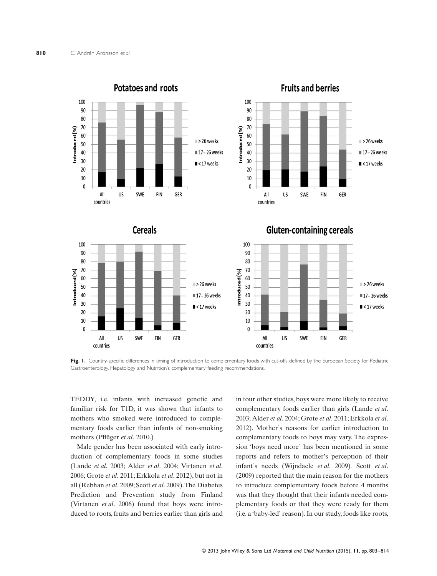

Fig. 1. Country-specific differences in timing of introduction to complementary foods with cut-offs defined by the European Society for Pediatric Gastroenterology, Hepatology and Nutrition's complementary feeding recommendations.

TEDDY, i.e. infants with increased genetic and familiar risk for T1D, it was shown that infants to mothers who smoked were introduced to complementary foods earlier than infants of non-smoking mothers (Pflüger *et al*. 2010.)

Male gender has been associated with early introduction of complementary foods in some studies (Lande *et al*. 2003; Alder *et al*. 2004; Virtanen *et al*. 2006; Grote *et al*. 2011; Erkkola *et al*. 2012), but not in all (Rebhan *et al*. 2009; Scott *et al*. 2009).The Diabetes Prediction and Prevention study from Finland (Virtanen *et al*. 2006) found that boys were introduced to roots, fruits and berries earlier than girls and in four other studies, boys were more likely to receive complementary foods earlier than girls (Lande *et al*. 2003; Alder *et al*. 2004; Grote *et al*. 2011; Erkkola *et al*. 2012). Mother's reasons for earlier introduction to complementary foods to boys may vary. The expression 'boys need more' has been mentioned in some reports and refers to mother's perception of their infant's needs (Wijndaele *et al*. 2009)*.* Scott *et al*. (2009) reported that the main reason for the mothers to introduce complementary foods before 4 months was that they thought that their infants needed complementary foods or that they were ready for them (i.e. a 'baby-led' reason). In our study, foods like roots,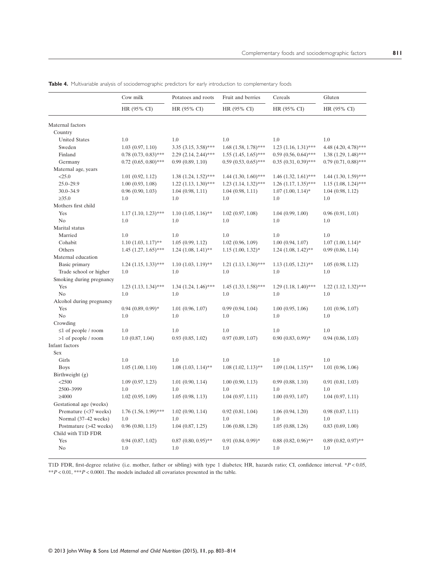|                                              | Cow milk                  | Potatoes and roots        | Fruit and berries         | Cereals                   | Gluten<br>HR (95% CI)     |  |
|----------------------------------------------|---------------------------|---------------------------|---------------------------|---------------------------|---------------------------|--|
|                                              | HR (95% CI)               | HR (95% CI)               | HR (95% CI)               | HR (95% CI)               |                           |  |
| Maternal factors                             |                           |                           |                           |                           |                           |  |
| Country                                      |                           |                           |                           |                           |                           |  |
| <b>United States</b>                         | 1.0                       | 1.0                       | 1.0                       | 1.0                       | 1.0                       |  |
| Sweden                                       | 1.03(0.97, 1.10)          | $3.35$ $(3.15, 3.58)$ *** | $1.68$ $(1.58, 1.78)$ *** | $1.23$ $(1.16, 1.31)$ *** | 4.48 (4.20, 4.78)***      |  |
| Finland                                      | $0.78$ $(0.73, 0.83)$ *** | 2.29 (2.14, 2.44)***      | $1.55$ $(1.45, 1.65)$ *** | $0.59$ $(0.56, 0.64)$ *** | $1.38$ $(1.29, 1.48)$ *** |  |
| Germany                                      | $0.72$ $(0.65, 0.80)$ *** | 0.99(0.89, 1.10)          | $0.59$ $(0.53, 0.65)$ *** | $0.35$ $(0.31, 0.39)$ *** | $0.79(0.71, 0.88)$ ***    |  |
| Maternal age, years                          |                           |                           |                           |                           |                           |  |
| <25.0                                        | 1.01(0.92, 1.12)          | $1.38$ $(1.24, 1.52)$ *** | $1.44$ $(1.30, 1.60)$ *** | $1.46$ $(1.32, 1.61)$ *** | $1.44$ $(1.30, 1.59)$ *** |  |
| 25.0-29.9                                    | 1.00(0.93, 1.08)          | $1.22$ $(1.13, 1.30)$ *** | $1.23$ $(1.14, 1.32)$ *** | $1.26$ $(1.17, 1.35)$ *** | $1.15$ $(1.08, 1.24)$ *** |  |
| 30.0-34.9                                    | 0.96(0.90, 1.03)          | 1.04(0.98, 1.11)          | 1.04(0.98, 1.11)          | $1.07$ $(1.00, 1.14)$ *   | 1.04(0.98, 1.12)          |  |
| $\geq 35.0$                                  | 1.0                       | 1.0                       | 1.0                       | 1.0                       | 1.0                       |  |
| Mothers first child                          |                           |                           |                           |                           |                           |  |
| Yes                                          | $1.17$ $(1.10, 1.23)$ *** | $1.10 (1.05, 1.16)$ **    | $1.02$ $(0.97, 1.08)$     | 1.04(0.99, 1.00)          | 0.96(0.91, 1.01)          |  |
| No                                           | 1.0                       | 1.0                       | 1.0                       | 1.0                       | 1.0                       |  |
| Marital status                               |                           |                           |                           |                           |                           |  |
| Married                                      | 1.0                       | 1.0                       | 1.0                       | 1.0                       | 1.0                       |  |
| Cohabit                                      | $1.10$ $(1.03, 1.17)$ **  | 1.05(0.99, 1.12)          | 1.02(0.96, 1.09)          | 1.00(0.94, 1.07)          | $1.07$ $(1.00, 1.14)$ *   |  |
| Others                                       | $1.45$ $(1.27, 1.65)$ *** | $1.24$ $(1.08, 1.41)$ **  | $1.15$ $(1.00, 1.32)$ *   | $1.24$ $(1.08, 1.42)$ **  | 0.99(0.86, 1.14)          |  |
| Maternal education                           |                           |                           |                           |                           |                           |  |
| Basic primary                                | $1.24$ $(1.15, 1.33)$ *** | $1.10 (1.03, 1.19)$ **    | $1.21$ $(1.13, 1.30)$ *** | $1.13$ $(1.05, 1.21)$ **  | 1.05(0.98, 1.12)          |  |
| Trade school or higher                       | 1.0                       | 1.0                       | 1.0                       | 1.0                       | 1.0                       |  |
| Smoking during pregnancy                     |                           |                           |                           |                           |                           |  |
| Yes                                          | $1.23$ $(1.13, 1.34)$ *** | $1.34$ $(1.24, 1.46)$ *** | $1.45$ $(1.33, 1.58)$ *** | $1.29$ $(1.18, 1.40)$ *** | $1.22$ $(1.12, 1.32)$ *** |  |
| N <sub>o</sub>                               | 1.0                       | 1.0                       | 1.0                       | 1.0                       | 1.0                       |  |
| Alcohol during pregnancy                     |                           |                           |                           |                           |                           |  |
| Yes                                          | $0.94$ $(0.89, 0.99)$ *   | 1.01(0.96, 1.07)          | 0.99(0.94, 1.04)          | 1.00(0.95, 1.06)          | $1.01$ $(0.96, 1.07)$     |  |
| No                                           | 1.0                       | 1.0                       | 1.0                       | 1.0                       | 1.0                       |  |
| Crowding                                     |                           |                           |                           |                           |                           |  |
| $\leq 1$ of people / room                    | 1.0                       | 1.0                       | 1.0                       | 1.0                       | 1.0                       |  |
| >1 of people / room                          | 1.0(0.87, 1.04)           | $0.93$ $(0.85, 1.02)$     | 0.97(0.89, 1.07)          | $0.90(0.83, 0.99)*$       | 0.94(0.86, 1.03)          |  |
| Infant factors                               |                           |                           |                           |                           |                           |  |
| Sex                                          |                           |                           |                           |                           |                           |  |
| Girls                                        | 1.0                       | 1.0                       | 1.0                       | 1.0                       | 1.0                       |  |
| <b>Boys</b>                                  | 1.05(1.00, 1.10)          | $1.08$ $(1.03, 1.14)$ **  | $1.08$ $(1.02, 1.13)$ **  | $1.09$ $(1.04, 1.15)$ **  | 1.01(0.96, 1.06)          |  |
| Birthweight (g)                              |                           |                           |                           |                           |                           |  |
| $<$ 2500                                     | 1.09(0.97, 1.23)          | 1.01(0.90, 1.14)          | 1.00(0.90, 1.13)          | 0.99(0.88, 1.10)          | 0.91(0.81, 1.03)          |  |
| 2500-3999                                    | 1.0                       | 1.0                       | 1.0                       | 1.0                       | 1.0                       |  |
| ≥4000                                        | 1.02(0.95, 1.09)          | 1.05(0.98, 1.13)          | 1.04(0.97, 1.11)          | 1.00(0.93, 1.07)          | 1.04(0.97, 1.11)          |  |
| Gestational age (weeks)                      |                           |                           |                           |                           |                           |  |
| Premature (<37 weeks)                        | $1.76$ $(1.56, 1.99)$ *** | 1.02(0.90, 1.14)          | 0.92(0.81, 1.04)          | 1.06(0.94, 1.20)          | 0.98(0.87, 1.11)          |  |
|                                              | 1.0                       | 1.0                       | 1.0                       | 1.0                       | 1.0                       |  |
| Normal (37-42 weeks)                         |                           |                           |                           |                           |                           |  |
| Postmature (>42 weeks)<br>Child with T1D FDR | 0.96(0.80, 1.15)          | 1.04(0.87, 1.25)          | $1.06$ $(0.88, 1.28)$     | 1.05(0.88, 1.26)          | 0.83(0.69, 1.00)          |  |
| Yes                                          |                           | $0.87$ $(0.80, 0.95)$ **  | $0.91(0.84, 0.99)*$       | $0.88$ $(0.82, 0.96)$ **  | $0.89$ $(0.82, 0.97)$ **  |  |
|                                              | $0.94$ $(0.87, 1.02)$     |                           |                           |                           |                           |  |
| No                                           | 1.0                       | 1.0                       | 1.0                       | 1.0                       | 1.0                       |  |

**Table 4.** Multivariable analysis of sociodemographic predictors for early introduction to complementary foods

T1D FDR, first-degree relative (i.e. mother, father or sibling) with type 1 diabetes; HR, hazards ratio; CI, confidence interval. \**P* < 0.05, \*\**P* < 0.01, \*\*\**P* < 0.0001. The models included all covariates presented in the table.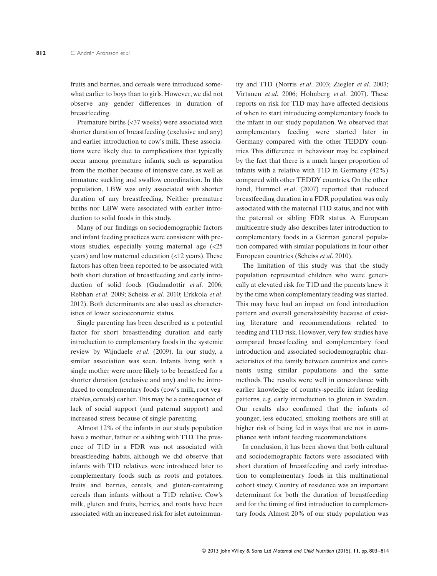fruits and berries, and cereals were introduced somewhat earlier to boys than to girls. However, we did not observe any gender differences in duration of breastfeeding.

Premature births (<37 weeks) were associated with shorter duration of breastfeeding (exclusive and any) and earlier introduction to cow's milk. These associations were likely due to complications that typically occur among premature infants, such as separation from the mother because of intensive care, as well as immature suckling and swallow coordination. In this population, LBW was only associated with shorter duration of any breastfeeding. Neither premature births nor LBW were associated with earlier introduction to solid foods in this study.

Many of our findings on sociodemographic factors and infant feeding practices were consistent with previous studies, especially young maternal age (<25 years) and low maternal education (<12 years). These factors has often been reported to be associated with both short duration of breastfeeding and early introduction of solid foods (Gudnadottir *et al*. 2006; Rebhan *et al*. 2009; Scheiss *et al*. 2010; Erkkola *et al*. 2012). Both determinants are also used as characteristics of lower socioeconomic status.

Single parenting has been described as a potential factor for short breastfeeding duration and early introduction to complementary foods in the systemic review by Wijndaele *et al*. (2009). In our study, a similar association was seen. Infants living with a single mother were more likely to be breastfeed for a shorter duration (exclusive and any) and to be introduced to complementary foods (cow's milk, root vegetables, cereals) earlier.This may be a consequence of lack of social support (and paternal support) and increased stress because of single parenting.

Almost 12% of the infants in our study population have a mother, father or a sibling with T1D. The presence of T1D in a FDR was not associated with breastfeeding habits, although we did observe that infants with T1D relatives were introduced later to complementary foods such as roots and potatoes, fruits and berries, cereals, and gluten-containing cereals than infants without a T1D relative. Cow's milk, gluten and fruits, berries, and roots have been associated with an increased risk for islet autoimmun-

ity and T1D (Norris *et al*. 2003; Ziegler *et al*. 2003; Virtanen *et al*. 2006; Holmberg *et al*. 2007). These reports on risk for T1D may have affected decisions of when to start introducing complementary foods to the infant in our study population. We observed that complementary feeding were started later in Germany compared with the other TEDDY countries. This difference in behaviour may be explained by the fact that there is a much larger proportion of infants with a relative with T1D in Germany (42%) compared with other TEDDY countries. On the other hand, Hummel *et al*. (2007) reported that reduced breastfeeding duration in a FDR population was only associated with the maternal T1D status, and not with the paternal or sibling FDR status. A European multicentre study also describes later introduction to complementary foods in a German general population compared with similar populations in four other European countries (Scheiss *et al*. 2010).

The limitation of this study was that the study population represented children who were genetically at elevated risk for T1D and the parents knew it by the time when complementary feeding was started. This may have had an impact on food introduction pattern and overall generalizability because of existing literature and recommendations related to feeding and T1D risk. However, very few studies have compared breastfeeding and complementary food introduction and associated sociodemographic characteristics of the family between countries and continents using similar populations and the same methods. The results were well in concordance with earlier knowledge of country-specific infant feeding patterns, e.g. early introduction to gluten in Sweden. Our results also confirmed that the infants of younger, less educated, smoking mothers are still at higher risk of being fed in ways that are not in compliance with infant feeding recommendations.

In conclusion, it has been shown that both cultural and sociodemographic factors were associated with short duration of breastfeeding and early introduction to complementary foods in this multinational cohort study. Country of residence was an important determinant for both the duration of breastfeeding and for the timing of first introduction to complementary foods. Almost 20% of our study population was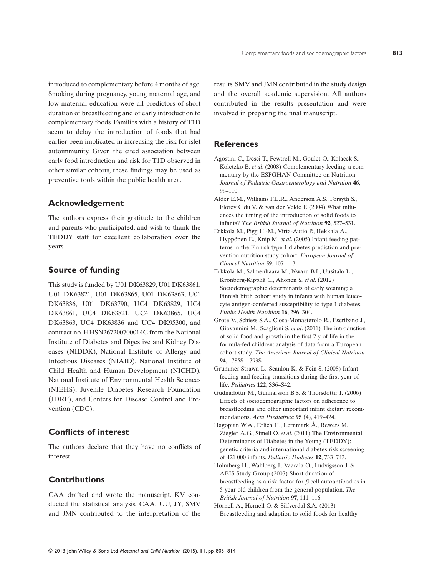introduced to complementary before 4 months of age. Smoking during pregnancy, young maternal age, and low maternal education were all predictors of short duration of breastfeeding and of early introduction to complementary foods. Families with a history of T1D seem to delay the introduction of foods that had earlier been implicated in increasing the risk for islet autoimmunity. Given the cited association between early food introduction and risk for T1D observed in other similar cohorts, these findings may be used as preventive tools within the public health area.

# **Acknowledgement**

The authors express their gratitude to the children and parents who participated, and wish to thank the TEDDY staff for excellent collaboration over the years.

## **Source of funding**

This study is funded by U01 DK63829, U01 DK63861, U01 DK63821, U01 DK63865, U01 DK63863, U01 DK63836, U01 DK63790, UC4 DK63829, UC4 DK63861, UC4 DK63821, UC4 DK63865, UC4 DK63863, UC4 DK63836 and UC4 DK95300, and contract no. HHSN267200700014C from the National Institute of Diabetes and Digestive and Kidney Diseases (NIDDK), National Institute of Allergy and Infectious Diseases (NIAID), National Institute of Child Health and Human Development (NICHD), National Institute of Environmental Health Sciences (NIEHS), Juvenile Diabetes Research Foundation (JDRF), and Centers for Disease Control and Prevention (CDC).

# **Conflicts of interest**

The authors declare that they have no conflicts of interest.

# **Contributions**

CAA drafted and wrote the manuscript. KV conducted the statistical analysis. CAA, UU, JY, SMV and JMN contributed to the interpretation of the results. SMV and JMN contributed in the study design and the overall academic supervision. All authors contributed in the results presentation and were involved in preparing the final manuscript.

## **References**

- Agostini C., Desci T., Fewtrell M., Goulet O., Kolacek S., Koletzko B. *et al*. (2008) Complementary feeding: a commentary by the ESPGHAN Committee on Nutrition. *Journal of Pediatric Gastroenterology and Nutrition* **46**, 99–110.
- Alder E.M., Williams F.L.R., Anderson A.S., Forsyth S., Florey C.du V. & van der Velde P. (2004) What influences the timing of the introduction of solid foods to infants? *The British Journal of Nutrition* **92**, 527–531.
- Erkkola M., Pigg H.-M., Virta-Autio P., Hekkala A., Hyppönen E., Knip M. *et al*. (2005) Infant feeding patterns in the Finnish type 1 diabetes prediction and prevention nutrition study cohort. *European Journal of Clinical Nutrition* **59**, 107–113.
- Erkkola M., Salmenhaara M., Nwaru B.I., Uusitalo L., Kronberg-Kippliä C., Ahonen S. *et al*. (2012) Sociodemographic determinants of early weaning: a Finnish birth cohort study in infants with human leucocyte antigen-conferred susceptibility to type 1 diabetes. *Public Health Nutrition* **16**, 296–304.
- Grote V., Schiess S.A., Closa-Monasterolo R., Escribano J., Giovannini M., Scaglioni S. *et al*. (2011) The introduction of solid food and growth in the first 2 y of life in the formula-fed children: analysis of data from a European cohort study. *The American Journal of Clinical Nutrition* **94**, 1785S–1793S.
- Grummer-Strawn L., Scanlon K. & Fein S. (2008) Infant feeding and feeding transitions during the first year of life. *Pediatrics* **122**, S36–S42.
- Gudnadottir M., Gunnarsson B.S. & Thorsdottir I. (2006) Effects of sociodemographic factors on adherence to breastfeeding and other important infant dietary recommendations. *Acta Paediatrica* **95** (4), 419–424.
- Hagopian W.A., Erlich H., Lernmark Å., Rewers M., Ziegler A.G., Simell O. *et al*. (2011) The Environmental Determinants of Diabetes in the Young (TEDDY): genetic criteria and international diabetes risk screening of 421 000 infants. *Pediatric Diabetes* **12**, 733–743.
- Holmberg H., Wahlberg J., Vaarala O., Ludvigsson J. & ABIS Study Group (2007) Short duration of breastfeeding as a risk-factor for *β*-cell autoantibodies in 5-year old children from the general population. *The British Journal of Nutrition* **97**, 111–116.
- Hörnell A., Hernell O. & Silfverdal S.A. (2013) Breastfeeding and adaption to solid foods for healthy